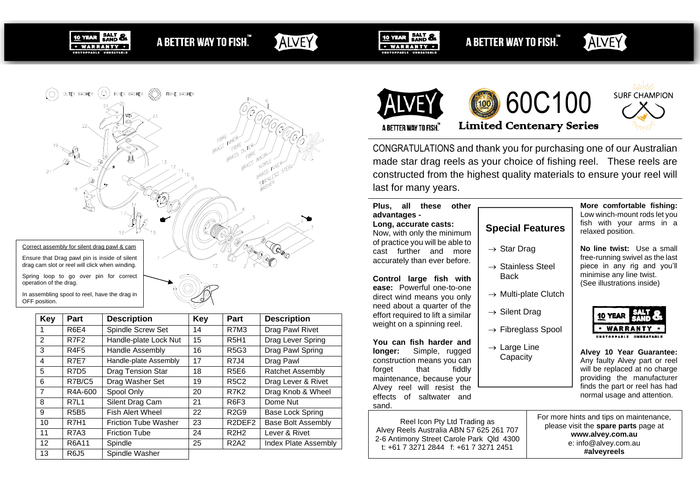

# A BETTER WAY TO FISH."

ALVEY



A BETTER WAY TO FISH."





In assembling spool to reel, have the drag in OFF position.

| Key            | Part                          | <b>Description</b>          | <b>Key</b> | Part                            | <b>Description</b>        |  |
|----------------|-------------------------------|-----------------------------|------------|---------------------------------|---------------------------|--|
| $\mathbf{1}$   | R6E4                          | Spindle Screw Set           | 14         | <b>R7M3</b>                     | Drag Pawl Rivet           |  |
| 2              | R7F <sub>2</sub>              | Handle-plate Lock Nut       | 15         | <b>R5H1</b>                     | Drag Lever Spring         |  |
| 3              | R <sub>4F5</sub>              | <b>Handle Assembly</b>      | 16         | <b>R5G3</b>                     | Drag Pawl Spring          |  |
| $\overline{4}$ | R7E7                          | Handle-plate Assembly       | 17         | R7J4                            | Drag Pawl                 |  |
| 5              | R <sub>7</sub> D <sub>5</sub> | <b>Drag Tension Star</b>    | 18         | <b>R5E6</b>                     | <b>Ratchet Assembly</b>   |  |
| 6              | R7B/C5                        | Drag Washer Set             | 19         | <b>R5C2</b>                     | Drag Lever & Rivet        |  |
| $\overline{7}$ | R4A-600                       | Spool Only                  | 20         | <b>R7K2</b>                     | Drag Knob & Wheel         |  |
| 8              | R7L1                          | Silent Drag Cam             | 21         | R <sub>6F3</sub>                | Dome Nut                  |  |
| 9              | <b>R5B5</b>                   | <b>Fish Alert Wheel</b>     | 22         | R <sub>2</sub> G <sub>9</sub>   | Base Lock Spring          |  |
| 10             | <b>R7H1</b>                   | <b>Friction Tube Washer</b> | 23         | R <sub>2</sub> DFF <sub>2</sub> | <b>Base Bolt Assembly</b> |  |
| 11             | <b>R7A3</b>                   | <b>Friction Tube</b>        | 24         | R2H2                            | Lever & Rivet             |  |
| 12             | R6A11                         | Spindle                     | 25         | <b>R2A2</b>                     | Index Plate Assembly      |  |
| 13             | <b>R6J5</b>                   | Spindle Washer              |            |                                 |                           |  |



CONGRATULATIONS and thank you for purchasing one of our Australian made star drag reels as your choice of fishing reel. These reels are constructed from the highest quality materials to ensure your reel will last for many years.

#### **Plus, all these other advantages - Long, accurate casts:**

Now, with only the minimum of practice you will be able to cast further and more accurately than ever before.

**Control large fish with ease:** Powerful one-to-one direct wind means you only need about a quarter of the effort required to lift a similar weight on a spinning reel.

**You can fish harder and longer:** Simple, rugged construction means you can forget that fiddly maintenance, because your Alvey reel will resist the effects of saltwater and sand.

Reel Icon Pty Ltd Trading as Alvey Reels Australia ABN 57 625 261 707 2-6 Antimony Street Carole Park Qld 4300 t: +61 7 3271 2844 f: +61 7 3271 2451

# **Special Features**

- $\rightarrow$  Star Drag
- $\rightarrow$  Stainless Steel **Back**
- $\rightarrow$  Multi-plate Clutch
- $\rightarrow$  Silent Drag
- $\rightarrow$  Fibreglass Spool
- $\rightarrow$  Large Line Capacity



**Alvey 10 Year Guarantee:** Any faulty Alvey part or reel will be replaced at no charge providing the manufacturer finds the part or reel has had normal usage and attention.

For more hints and tips on maintenance, please visit the **spare parts** page at **www.alvey.com.au** e: info@alvey.com.au **#alveyreels**

**More comfortable fishing:** Low winch-mount rods let you fish with your arms in a relaxed position.

**No line twist:** Use a small free-running swivel as the last piece in any rig and you'll

minimise any line twist. (See illustrations inside)